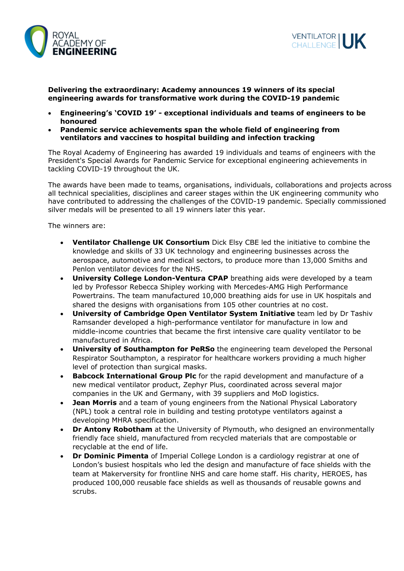



**Delivering the extraordinary: Academy announces 19 winners of its special engineering awards for transformative work during the COVID-19 pandemic**

- **Engineering's 'COVID 19' - exceptional individuals and teams of engineers to be honoured**
- **Pandemic service achievements span the whole field of engineering from ventilators and vaccines to hospital building and infection tracking**

The Royal Academy of Engineering has awarded 19 individuals and teams of engineers with the President's Special Awards for Pandemic Service for exceptional engineering achievements in tackling COVID-19 throughout the UK.

The awards have been made to teams, organisations, individuals, collaborations and projects across all technical specialities, disciplines and career stages within the UK engineering community who have contributed to addressing the challenges of the COVID-19 pandemic. Specially commissioned silver medals will be presented to all 19 winners later this year.

The winners are:

- **Ventilator Challenge UK Consortium** Dick Elsy CBE led the initiative to combine the knowledge and skills of 33 UK technology and engineering businesses across the aerospace, automotive and medical sectors, to produce more than 13,000 Smiths and Penlon ventilator devices for the NHS.
- **University College London-Ventura CPAP** breathing aids were developed by a team led by Professor Rebecca Shipley working with Mercedes-AMG High Performance Powertrains. The team manufactured 10,000 breathing aids for use in UK hospitals and shared the designs with organisations from 105 other countries at no cost.
- **University of Cambridge Open Ventilator System Initiative** team led by Dr Tashiv Ramsander developed a high-performance ventilator for manufacture in low and middle-income countries that became the first intensive care quality ventilator to be manufactured in Africa.
- **University of Southampton for PeRSo** the engineering team developed the Personal Respirator Southampton, a respirator for healthcare workers providing a much higher level of protection than surgical masks.
- **Babcock International Group Plc** for the rapid development and manufacture of a new medical ventilator product, Zephyr Plus, coordinated across several major companies in the UK and Germany, with 39 suppliers and MoD logistics.
- **Jean Morris** and a team of young engineers from the National Physical Laboratory (NPL) took a central role in building and testing prototype ventilators against a developing MHRA specification.
- **Dr Antony Robotham** at the University of Plymouth, who designed an environmentally friendly face shield, manufactured from recycled materials that are compostable or recyclable at the end of life.
- **Dr Dominic Pimenta** of Imperial College London is a cardiology registrar at one of London's busiest hospitals who led the design and manufacture of face shields with the team at Makerversity for frontline NHS and care home staff. His charity, HEROES, has produced 100,000 reusable face shields as well as thousands of reusable gowns and scrubs.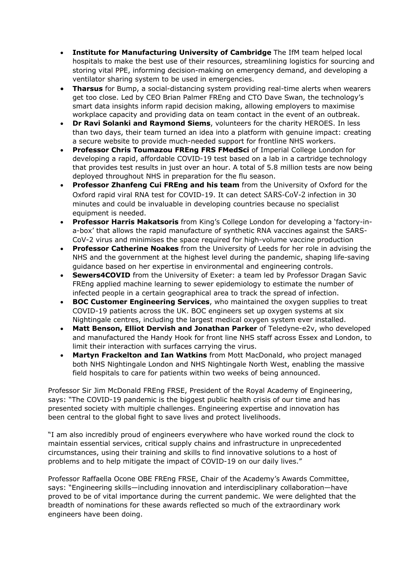- **Institute for Manufacturing University of Cambridge** The IfM team helped local hospitals to make the best use of their resources, streamlining logistics for sourcing and storing vital PPE, informing decision-making on emergency demand, and developing a ventilator sharing system to be used in emergencies.
- **Tharsus** for Bump, a social-distancing system providing real-time alerts when wearers get too close. Led by CEO Brian Palmer FREng and CTO Dave Swan, the technology's smart data insights inform rapid decision making, allowing employers to maximise workplace capacity and providing data on team contact in the event of an outbreak.
- **Dr Ravi Solanki and Raymond Siems**, volunteers for the charity HEROES. In less than two days, their team turned an idea into a platform with genuine impact: creating a secure website to provide much-needed support for frontline NHS workers.
- **Professor Chris Toumazou FREng FRS FMedSci** of Imperial College London for developing a rapid, affordable COVID-19 test based on a lab in a cartridge technology that provides test results in just over an hour. A total of 5.8 million tests are now being deployed throughout NHS in preparation for the flu season.
- **Professor Zhanfeng Cui FREng and his team** from the University of Oxford for the Oxford rapid viral RNA test for COVID-19. It can detect SARS-CoV-2 infection in 30 minutes and could be invaluable in developing countries because no specialist equipment is needed.
- **Professor Harris Makatsoris** from King's College London for developing a 'factory-ina-box' that allows the rapid manufacture of synthetic RNA vaccines against the SARS-CoV-2 virus and minimises the space required for high-volume vaccine production
- **Professor Catherine Noakes** from the University of Leeds for her role in advising the NHS and the government at the highest level during the pandemic, shaping life-saving guidance based on her expertise in environmental and engineering controls.
- **Sewers4COVID** from the University of Exeter: a team led by Professor Dragan Savic FREng applied machine learning to sewer epidemiology to estimate the number of infected people in a certain geographical area to track the spread of infection.
- **BOC Customer Engineering Services**, who maintained the oxygen supplies to treat COVID-19 patients across the UK. BOC engineers set up oxygen systems at six Nightingale centres, including the largest medical oxygen system ever installed.
- **Matt Benson, Elliot Dervish and Jonathan Parker** of Teledyne-e2v, who developed and manufactured the Handy Hook for front line NHS staff across Essex and London, to limit their interaction with surfaces carrying the virus.
- **Martyn Frackelton and Ian Watkins** from Mott MacDonald, who project managed both NHS Nightingale London and NHS Nightingale North West, enabling the massive field hospitals to care for patients within two weeks of being announced.

Professor Sir Jim McDonald FREng FRSE, President of the Royal Academy of Engineering, says: "The COVID-19 pandemic is the biggest public health crisis of our time and has presented society with multiple challenges. Engineering expertise and innovation has been central to the global fight to save lives and protect livelihoods.

"I am also incredibly proud of engineers everywhere who have worked round the clock to maintain essential services, critical supply chains and infrastructure in unprecedented circumstances, using their training and skills to find innovative solutions to a host of problems and to help mitigate the impact of COVID-19 on our daily lives."

Professor Raffaella Ocone OBE FREng FRSE, Chair of the Academy's Awards Committee, says: "Engineering skills—including innovation and interdisciplinary collaboration—have proved to be of vital importance during the current pandemic. We were delighted that the breadth of nominations for these awards reflected so much of the extraordinary work engineers have been doing.